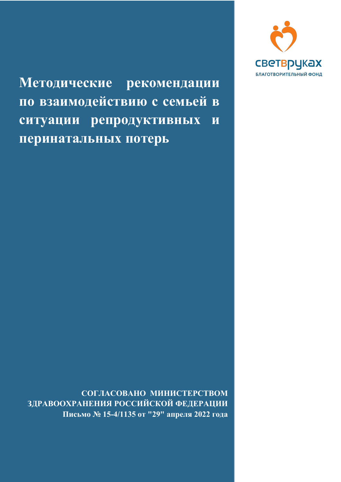

Методические рекомендации по взаимодействию с семьей в ситуации репродуктивных и перинатальных потерь

**СОГЛАСОВАНО МИНИСТЕРСТВОМ ЗДРАВООХРАНЕНИЯ РОССИЙСКОЙ ФЕДЕРАЦИИ**  Письмо № 15-4/1135 от "29" апреля 2022 года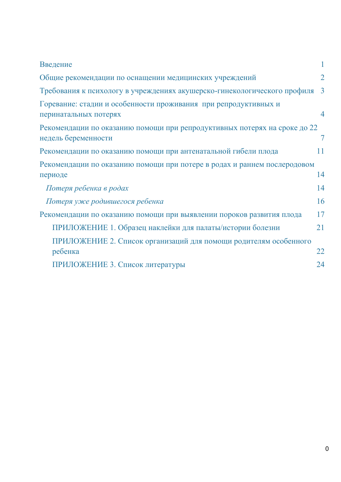| Введение                                                                                         |                |
|--------------------------------------------------------------------------------------------------|----------------|
| Общие рекомендации по оснащении медицинских учреждений                                           | $\overline{2}$ |
| Требования к психологу в учреждениях акушерско-гинекологического профиля                         | $\overline{3}$ |
| Горевание: стадии и особенности проживания при репродуктивных и<br>перинатальных потерях         | 4              |
| Рекомендации по оказанию помощи при репродуктивных потерях на сроке до 22<br>недель беременности | $\tau$         |
| Рекомендации по оказанию помощи при антенатальной гибели плода                                   | 11             |
| Рекомендации по оказанию помощи при потере в родах и раннем послеродовом<br>периоде              | 14             |
| Потеря ребенка в родах                                                                           | 14             |
| Потеря уже родившегося ребенка                                                                   | 16             |
| Рекомендации по оказанию помощи при выявлении пороков развития плода                             | 17             |
| ПРИЛОЖЕНИЕ 1. Образец наклейки для палаты/истории болезни                                        | 21             |
| ПРИЛОЖЕНИЕ 2. Список организаций для помощи родителям особенного<br>ребенка                      | 22             |
| ПРИЛОЖЕНИЕ 3. Список литературы                                                                  | 24             |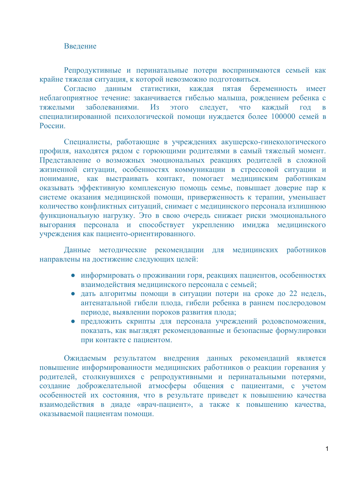### Ввеление

<span id="page-2-0"></span>Репродуктивные и перинатальные потери воспринимаются семьей как крайне тяжелая ситуация, к которой невозможно подготовиться.

Согласно данным статистики, каждая пятая беременность имеет неблагоприятное течение: заканчивается гибелью малыша, рождением ребенка с тяжелыми заболеваниями. Из этого следует, что каждый год в специализированной психологической помощи нуждается более 100000 семей в P<sub>OCCИИ</sub>.

Специалисты, работающие в учреждениях акушерско-гинекологического профиля, находятся рядом с горюющими родителями в самый тяжелый момент. Представление о возможных эмоциональных реакциях родителей в сложной жизненной ситуации, особенностях коммуникации в стрессовой ситуации и понимание, как выстраивать контакт, помогает медицинским работникам оказывать эффективную комплексную помощь семье, повышает доверие пар к системе оказания медицинской помощи, приверженность к терапии, уменьшает количество конфликтных ситуаций, снимает с медицинского персонала излишнюю функциональную нагрузку. Это в свою очередь снижает риски эмоционального ɜɵɝɨɪɚɧɢɹ ɩɟɪɫɨɧɚɥɚ ɢ ɫɩɨɫɨɛɫɬɜɭɟɬ ɭɤɪɟɩɥɟɧɢɸ ɢɦɢɞɠɚ ɦɟɞɢɰɢɧɫɤɨɝɨ учреждения как пациенто-ориентированного.

Данные методические рекомендации для медицинских работников направлены на достижение следующих целей:

- информировать о проживании горя, реакциях пациентов, особенностях взаимодействия медицинского персонала с семьей;
- дать алгоритмы помощи в ситуации потери на сроке до 22 недель, антенатальной гибели плода, гибели ребенка в раннем послеродовом периоде, выявлении пороков развития плода;
- предложить скрипты для персонала учреждений родовспоможения, показать, как выглядят рекомендованные и безопасные формулировки при контакте с пациентом.

Ожидаемым результатом внедрения данных рекомендаций является повышение информированности медицинских работников о реакции горевания у родителей, столкнувшихся с репродуктивными и перинатальными потерями, создание доброжелательной атмосферы общения с пациентами, с учетом особенностей их состояния, что в результате приведет к повышению качества взаимодействия в диаде «врач-пациент», а также к повышению качества, оказываемой пациентам помощи.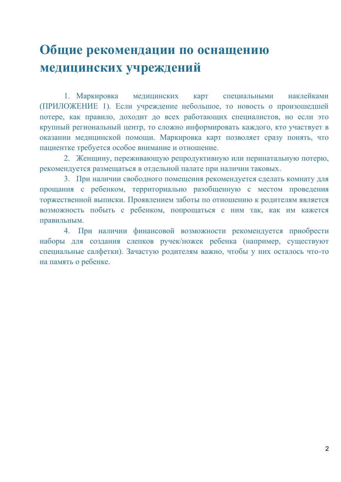## <span id="page-3-0"></span>Общие рекомендации по оснащению **медицинских учреждений**

1. Маркировка медицинских карт специальными наклейками (ПРИЛОЖЕНИЕ 1). Если учреждение небольшое, то новость о произошедшей потере, как правило, доходит до всех работающих специалистов, но если это крупный региональный центр, то сложно информировать каждого, кто участвует в оказании медицинской помощи. Маркировка карт позволяет сразу понять, что пациентке требуется особое внимание и отношение.

2. Женщину, переживающую репродуктивную или перинатальную потерю, рекомендуется размещаться в отдельной палате при наличии таковых.

3. При наличии свободного помещения рекомендуется сделать комнату для прощания с ребенком, территориально разобщенную с местом проведения торжественной выписки. Проявлением заботы по отношению к родителям является возможность побыть с ребенком, попрощаться с ним так, как им кажется правильным.

4. При наличии финансовой возможности рекомендуется приобрести наборы для создания слепков ручек/ножек ребенка (например, существуют специальные салфетки). Зачастую родителям важно, чтобы у них осталось что-то на память о ребенке.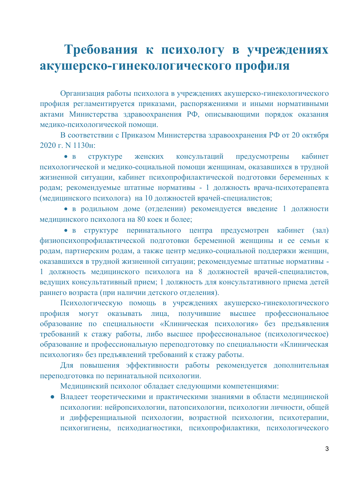## <span id="page-4-0"></span>**Требованиɹ к психологу в учреждениɹх**  акушерско-гинекологического профиля

Организация работы психолога в учреждениях акушерско-гинекологического профиля регламентируется приказами, распоряжениями и иными нормативными актами Министерства здравоохранения РФ, описывающими порядок оказания медико-психологической помощи.

В соответствии с Приказом Министерства здравоохранения РФ от 20 октября 2020 г. N 1130н:

• в структуре женских консультаций предусмотрены кабинет психологической и медико-социальной помощи женщинам, оказавшихся в трудной жизненной ситуации, кабинет психопрофилактической подготовки беременных к родам; рекомендуемые штатные нормативы - 1 должность врача-психотерапевта (медицинского психолога) на 10 должностей врачей-специалистов;

• в родильном доме (отделении) рекомендуется введение 1 должности мелицинского психолога на 80 коек и более:

• в структуре перинатального центра предусмотрен кабинет (зал) физиопсихопрофилактической подготовки беременной женщины и ее семьи к родам, партнерским родам, а также центр медико-социальной поддержки женщин, оказавшихся в трудной жизненной ситуации; рекомендуемые штатные нормативы -1 должность медицинского психолога на 8 должностей врачей-специалистов, ведущих консультативный прием; 1 должность для консультативного приема детей раннего возраста (при наличии детского отделения).

Психологическую помощь в учреждениях акушерско-гинекологического профиля могут оказывать лица, получившие высшее профессиональное образование по специальности «Клиническая психология» без предъявления требований к стажу работы, либо высшее профессиональное (психологическое) образование и профессиональную переподготовку по специальности «Клиническая психология» без предъявлений требований к стажу работы.

Для повышения эффективности работы рекомендуется дополнительная переподготовка по перинатальной психологии.

Медицинский психолог обладает следующими компетенциями:

• Владеет теоретическими и практическими знаниями в области медицинской психологии: нейропсихологии, патопсихологии, психологии личности, общей и дифференциальной психологии, возрастной психологии, психотерапии, психогигиены, психодиагностики, психопрофилактики, психологического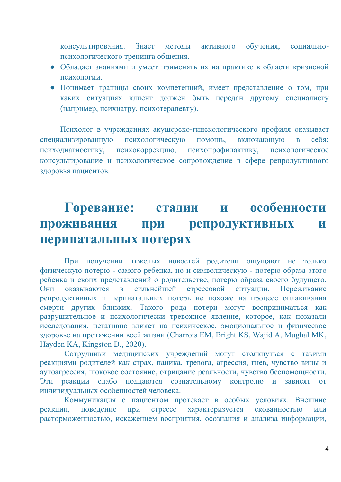консультирования. Знает методы активного обучения, социальнопсихологического тренинга общения.

- Обладает знаниями и умеет применять их на практике в области кризисной психологии.
- Понимает границы своих компетенций, имеет представление о том, при каких ситуациях клиент должен быть передан другому специалисту (например, психиатру, психотерапевту).

Психолог в учреждениях акушерско-гинекологического профиля оказывает специализированную психологическую помощь, включающую в себя: психодиагностику, психокоррекцию, психопрофилактику, психологическое консультирование и психологическое сопровождение в сфере репродуктивного здоровья пациентов.

## <span id="page-5-0"></span>**Горевание: стадии и особенности**  проживания при репродуктивных и перинатальных потерях

При получении тяжелых новостей родители ошушают не только физическую потерю - самого ребенка, но и символическую - потерю образа этого ребенка и своих представлений о родительстве, потерю образа своего будущего. Они оказываются в сильнейшей стрессовой ситуации. Переживание репродуктивных и перинатальных потерь не похоже на процесс оплакивания смерти других близких. Такого рода потери могут восприниматься как разрушительное и психологически тревожное явление, которое, как показали исследования, негативно влияет на психическое, эмоциональное и физическое здоровье на протяжении всей жизни (Charrois EM, Bright KS, Wajid A, Mughal MK, Hayden KA, Kingston D., 2020).

Сотрудники медицинских учреждений могут столкнуться с такими реакциями родителей как страх, паника, тревога, агрессия, гнев, чувство вины и аутоагрессия, шоковое состояние, отрицание реальности, чувство беспомощности. Эти реакции слабо поддаются сознательному контролю и зависят от индивидуальных особенностей человека.

Коммуникация с пациентом протекает в особых условиях. Внешние реакции, поведение при стрессе характеризуется скованностью или расторможенностью, искажением восприятия, осознания и анализа информации,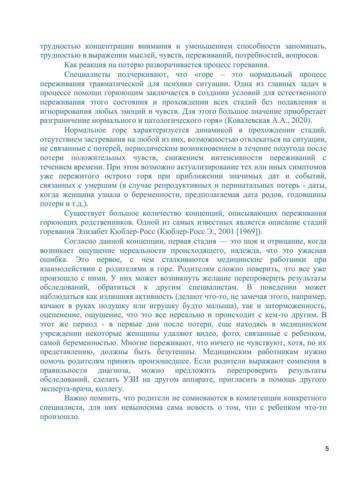трудностью концентрации внимания и уменьшением способности запоминать, трудностью в выражении мыслей, чувств, переживаний, потребностей, вопросов.

Как реакция на потерю разворачивается процесс горевания.

Специалисты подчеркивают, что «горе – это нормальный процесс переживания травматической для психики ситуации. Одна из главных задач в процессе помощи горюющим заключается в создании условий для естественного переживания этого состояния и прохождении всех стадий без подавления и игнорирования любых эмоций и чувств. Для этого большое значение приобретает разграничение нормального и патологического горя» (Ковалевская А.А., 2020).

Нормальное горе характеризуется динамикой в прохождении стадий, отсутствием застревания на любой из них, возможностью отвлекаться на ситуации, не связанные с потерей, периодическим возникновением в течение полугода после потери положительных чувств, снижением интенсивности переживаний с течением времени. При этом возможно актуализирование тех или иных симптомов уже пережитого острого горя при приближении значимых дат и событий, связанных с умершим (в случае репродуктивных и перинатальных потерь - даты, когда женщина узнала о беременности, предполагаемая дата родов, годовщины потери и т.д.).

Существует большое количество концепций, описывающих переживания горюющих родственников. Одной из самых известных является описание стадий горевания Элизабет Кюблер-Росс (Кюблер-Росс Э., 2001 [1969]).

Согласно данной концепции, первая стадия — это шок и отрицание, когда возникает ощущение нереальности происходящего, надежда, что это ужасная ошибка. Это первое, с чем сталкиваются медицинские работники при взаимодействии с родителями в горе. Родителям сложно поверить, что все уже произошло с ними. У них может возникнуть желание перепроверить результаты обследований, обратиться к другим специалистам. В поведении может наблюдаться как излишняя активность (делают что-то, не замечая этого, например, качают в руках подушку или игрушку будто малыша), так и заторможенность, оцепенение, ощущение, что это все нереально и происходит с кем-то другим. В этот же период - в первые дни после потери, еще находясь в медицинском учреждении некоторые женщины удаляют видео, фото, связанные с ребенком, • самой беременностью. Многие переживают, что ничего не чувствуют, хотя, по их представлению, должны быть безутешны. Медицинским работникам нужно помочь родителям принять произошедшее. Если родители выражают сомнения в правильности диагноза, можно предложить перепроверить результаты обследований, сделать УЗИ на другом аппарате, пригласить в помощь другого эксперта-врача, коллегу.

Важно помнить, что родители не сомневаются в компетенции конкретного специалиста, для них невыносима сама новость о том, что с ребенком что-то произошло.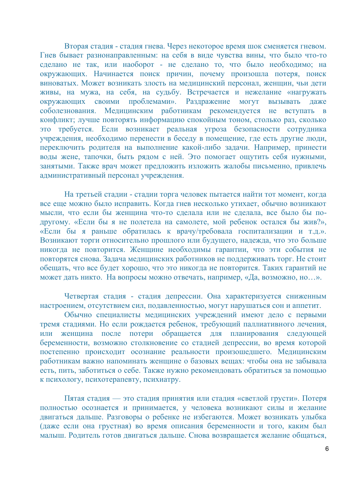Вторая стадия - стадия гнева. Через некоторое время шок сменяется гневом. Гнев бывает разнонаправленным: на себя в виде чувства вины, что было что-то сделано не так, или наоборот - не сделано то, что было необходимо; на окружающих. Начинается поиск причин, почему произошла потеря, поиск ɜɢɧɨɜɚɬɵɯ. Ɇɨɠɟɬ ɜɨɡɧɢɤɚɬɶ ɡɥɨɫɬɶ ɧɚ ɦɟɞɢɰɢɧɫɤɢɣ ɩɟɪɫɨɧɚɥ, ɠɟɧɳɢɧ, ɱɶɢ ɞɟɬɢ живы, на мужа, на себя, на судьбу. Встречается и нежелание «нагружать окружающих своими проблемами». Раздражение могут вызывать даже еоболезнования. Медицинским работникам рекомендуется не вступать в конфликт; лучше повторять информацию спокойным тоном, столько раз, сколько это требуется. Если возникает реальная угроза безопасности сотрудника учреждения, необходимо перенести в беседу в помещение, где есть другие люди, переключить родителя на выполнение какой-либо задачи. Например, принести ъ соды жене, тапочки, быть рядом с ней. Это помогает ощутить себя нужными, занятыми. Также врач может предложить изложить жалобы письменно, привлечь административный персонал учреждения.

На третьей стадии - стадии торга человек пытается найти тот момент, когда все еще можно было исправить. Когда гнев несколько утихает, обычно возникают мысли, что если бы женщина что-то сделала или не сделала, все было бы подругому. «Если бы я не полетела на самолете, мой ребенок остался бы жив?», «Если бы я раньше обратилась к врачу/требовала госпитализации и т.д.». Возникают торги относительно прошлого или будущего, надежда, что это больше никогда не повторится. Женщине необходимы гарантии, что эти события не повторятся снова. Задача медицинских работников не поддерживать торг. Не стоит обещать, что все будет хорошо, что это никогда не повторится. Таких гарантий не может дать никто. На вопросы можно отвечать, например, «Да, возможно, но...».

Четвертая стадия - стадия депрессии. Она характеризуется сниженным настроением, отсутствием сил, подавленностью, могут нарушаться сон и аппетит.

Обычно специалисты медицинских учреждений имеют дело с первыми тремя стадиями. Но если рождается ребенок, требующий паллиативного лечения, нли женщина после потери обращается для планирования следующей беременности, возможно столкновение со стадией депрессии, во время которой тостепенно происходит осознание реальности произошедшего. Медицинским работникам важно напоминать женщине о базовых вещах: чтобы она не забывала •<br>есть, пить, заботиться о себе. Также нужно рекомендовать обратиться за помощью к психологу, психотерапевту, психиатру.

Пятая стадия — это стадия принятия или стадия «светлой грусти». Потеря полностью осознается и принимается, у человека возникают силы и желание двигаться дальше. Разговоры о ребенке не избегаются. Может возникать улыбка (даже если она грустная) во время описания беременности и того, каким был малыш. Родитель готов двигаться дальше. Снова возвращается желание обшаться,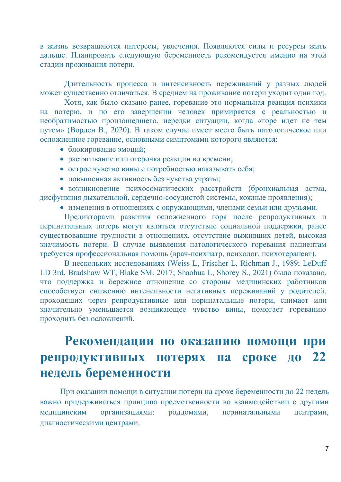в жизнь возвращаются интересы, увлечения. Появляются силы и ресурсы жить дальше. Планировать следующую беременность рекомендуется именно на этой стадии проживания потери.

Длительность процесса и интенсивность переживаний у разных людей может существенно отличаться. В среднем на проживание потери уходит один год.

Хотя, как было сказано ранее, горевание это нормальная реакция психики на потерю, и по его завершении человек примиряется с реальностью и необратимостью произошедшего, нередки ситуации, когда «горе идет не тем путем» (Ворден В., 2020). В таком случае имеет место быть патологическое или осложненное горевание, основными симптомами которого являются:

- блокирование эмоций;
- растягивание или отсрочка реакции во времени;
- острое чувство вины с потребностью наказывать себя;
- повышенная активность без чувства утраты;

• возникновение психосоматических расстройств (бронхиальная астма, дисфункция дыхательной, сердечно-сосудистой системы, кожные проявления);

• изменения в отношениях с окружающими, членами семьи или друзьями.

Предикторами развития осложненного горя после репродуктивных и перинатальных потерь могут являться отсутствие социальной поддержки, ранее существовавшие трудности в отношениях, отсутствие выживших детей, высокая ɡɧɚɱɢɦɨɫɬɶ ɩɨɬɟɪɢ. ȼ ɫɥɭɱɚɟ ɜɵɹɜɥɟɧɢɹ ɩɚɬɨɥɨɝɢɱɟɫɤɨɝɨ ɝɨɪɟɜɚɧɢɹ ɩɚɰɢɟɧɬɚɦ требуется профессиональная помощь (врач-психиатр, психолог, психотерапевт).

B нескольких исследованиях (Weiss L, Frischer L, Richman J., 1989; LeDuff LD 3rd, Bradshaw WT, Blake SM, 2017; Shaohua L, Shorey S., 2021) было показано, что поддержка и бережное отношение со стороны медицинских работников способствует снижению интенсивности негативных переживаний у родителей, проходящих через репродуктивные или перинатальные потери, снимает или значительно уменьшается возникающее чувство вины, помогает гореванию проходить без осложнений.

# <span id="page-8-0"></span>Рекомендации по оказанию помощи при репродуктивных потерях на сроке до 22 **неделɶ беременности**

При оказании помощи в ситуации потери на сроке беременности до 22 недель важно придерживаться принципа преемственности во взаимодействии с другими медицинским организациями: роддомами, перинатальными центрами, диагностическими центрами.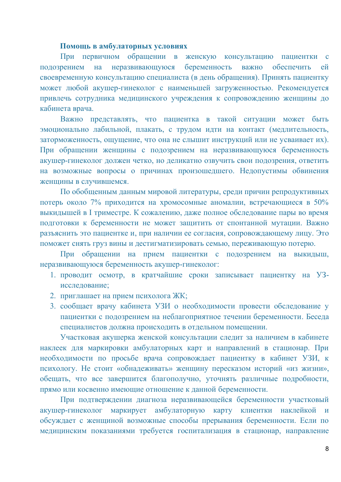#### Помощь в амбулаторных условиях

При первичном обращении в женскую консультацию пациентки подозрением на неразвивающуюся беременность важно обеспечить ей своевременную консультацию специалиста (в день обращения). Принять пациентку может любой акушер-гинеколог с наименьшей загруженностью. Рекомендуется привлечь сотрудника медицинского учреждения к сопровождению женщины до кабинета врача.

Важно представлять, что пациентка в такой ситуации может быть эмоционально лабильной, плакать, с трудом идти на контакт (медлительность, заторможенность, ощущение, что она не слышит инструкций или не усваивает их). При обращении женщины с подозрением на неразвивающуюся беременность акушер-гинеколог должен четко, но деликатно озвучить свои подозрения, ответить на возможные вопросы о причинах произошедшего. Недопустимы обвинения женщины в случившемся.

По обобщенным данным мировой литературы, среди причин репродуктивных потерь около 7% приходится на хромосомные аномалии, встречающиеся в 50% выкидышей в I триместре. К сожалению, даже полное обследование пары во время подготовки к беременности не может защитить от спонтанной мутации. Важно разъяснить это пациентке и, при наличии ее согласия, сопровождающему лицу. Это поможет снять груз вины и дестигматизировать семью, переживающую потерю.

При обращении на прием пациентки с подозрением на выкидыш, неразвивающуюся беременность акушер-гинеколог:

- 1. проводит осмотр, в кратчайшие сроки записывает пациентку на УЗисследование;
- 2. приглашает на прием психолога ЖК;
- 3. сообщает врачу кабинета УЗИ о необходимости провести обследование у пациентки с полозрением на неблагоприятное течении беременности. Бесела специалистов должна происходить в отдельном помещении.

Участковая акушерка женской консультации следит за наличием в кабинете наклеек для маркировки амбулаторных карт и направлений в стационар. При необходимости по просьбе врача сопровождает пациентку в кабинет УЗИ, к психологу. Не стоит «обнадеживать» женщину пересказом историй «из жизни», обещать, что все завершится благополучно, уточнять различные подробности, прямо или косвенно имеющие отношение к данной беременности.

При подтверждении диагноза неразвивающейся беременности участковый акушер-гинеколог маркирует амбулаторную карту клиентки наклейкой и обсуждает с женщиной возможные способы прерывания беременности. Если по медицинским показаниями требуется госпитализация в стационар, направление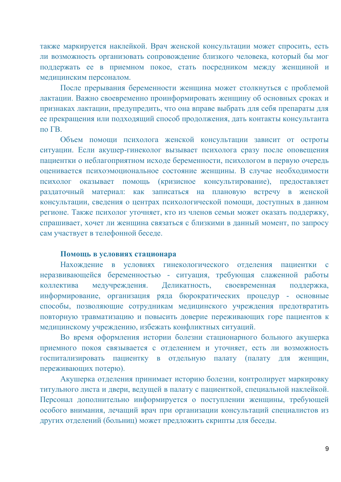также маркируется наклейкой. Врач женской консультации может спросить, есть ли возможность организовать сопровождение близкого человека, который бы мог поддержать ее в приемном покое, стать посредником между женщиной и медицинским персоналом.

После прерывания беременности женщина может столкнуться с проблемой лактации. Важно своевременно проинформировать женщину об основных сроках и признаках лактации, предупредить, что она вправе выбрать для себя препараты для е прекращения или подходящий способ продолжения, дать контакты консультанта  $π$  Γ $B.$ 

Объем помощи психолога женской консультации зависит от остроты ситуации. Если акушер-гинеколог вызывает психолога сразу после оповещения пациентки о неблагоприятном исходе беременности, психологом в первую очередь оценивается психоэмоциональное состояние женщины. В случае необходимости психолог оказывает помощь (кризисное консультирование), предоставляет раздаточный материал: как записаться на плановую встречу в женской консультации, сведения о центрах психологической помощи, доступных в данном регионе. Также психолог уточняет, кто из членов семьи может оказать поддержку, спрашивает, хочет ли женщина связаться с близкими в данный момент, по запросу сам участвует в телефонной беседе.

### Помощь в условиях стационара

Нахождение в условиях гинекологического отделения пациентки с неразвивающейся беременностью - ситуация, требующая слаженной работы коллектива медучреждения. Деликатность, своевременная поддержка, информирование, организация ряда бюрократических процедур - основные способы, позволяющие сотрудникам медицинского учреждения предотвратить повторную травматизацию и повысить доверие переживающих горе пациентов к медицинскому учреждению, избежать конфликтных ситуаций.

Во время оформления истории болезни стационарного больного акушерка приемного покоя связывается с отделением и уточняет, есть ли возможность госпитализировать пациентку в отдельную палату (палату для женщин, переживающих потерю).

Акушерка отделения принимает историю болезни, контролирует маркировку титульного листа и двери, ведущей в палату с пациенткой, специальной наклейкой. Персонал дополнительно информируется о поступлении женщины, требующей особого внимания, лечащий врач при организации консультаций специалистов из других отделений (больниц) может предложить скрипты для беседы.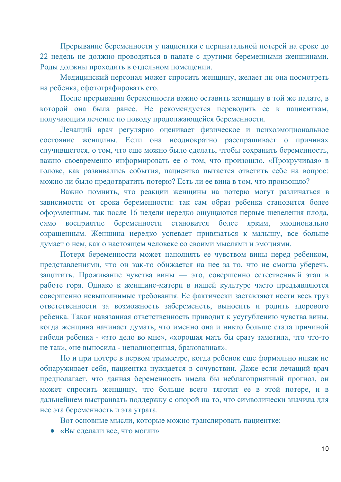Прерывание беременности у пациентки с перинатальной потерей на сроке до 22 недель не должно проводиться в палате с другими беременными женщинами. Роды должны проходить в отдельном помещении.

Медицинский персонал может спросить женщину, желает ли она посмотреть на ребенка, сфотографировать его.

После прерывания беременности важно оставить женщину в той же палате, в которой она была ранее. Не рекомендуется переводить ее к пациенткам, получающим лечение по поводу продолжающейся беременности.

Лечащий врач регулярно оценивает физическое и психоэмоциональное состояние женщины. Если она неоднократно расспрашивает о причинах случившегося, о том, что еще можно было сделать, чтобы сохранить беременность, важно своевременно информировать ее о том, что произошло. «Прокручивая» в голове, как развивались события, пациентка пытается ответить себе на вопрос: можно ли было предотвратить потерю? Есть ли ее вина в том, что произошло?

Важно помнить, что реакции женщины на потерю могут различаться в зависимости от срока беременности: так сам образ ребенка становится более оформленным, так после 16 недели нередко ощущаются первые шевеления плода, само восприятие беременности становится более ярким, эмоционально окрашенным. Женщина нередко успевает привязаться к малышу, все больше думает о нем, как о настоящем человеке со своими мыслями и эмоциями.

Потеря беременности может наполнять ее чувством вины перед ребенком, представлениями, что он как-то обижается на нее за то, что не смогла уберечь, защитить. Проживание чувства вины — это, совершенно естественный этап в работе горя. Однако к женщине-матери в нашей культуре часто предъявляются совершенно невыполнимые требования. Ее фактически заставляют нести весь груз ответственности за возможность забеременеть, выносить и родить здорового ребенка. Такая навязанная ответственность приводит к усугублению чувства вины, когда женщина начинает думать, что именно она и никто больше стала причиной гибели ребенка - «это дело во мне», «хорошая мать бы сразу заметила, что что-то не так», «не выносила - неполноценная, бракованная».

Но и при потере в первом триместре, когда ребенок еще формально никак не обнаруживает себя, пациентка нуждается в сочувствии. Даже если лечащий врач предполагает, что данная беременность имела бы неблагоприятный прогноз, он может спросить женщину, что больше всего тяготит ее в этой потере, и в дальнейшем выстраивать поддержку с опорой на то, что символически значила для нее эта беременность и эта утрата.

Вот основные мысли, которые можно транслировать пациентке:

• «Вы сделали все, что могли»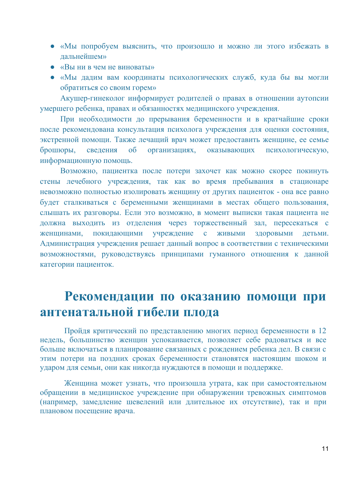- «Мы попробуем выяснить, что произошло и можно ли этого избежать в лапьнейшем»
- $\bullet$  « $B$ ы ни в чем не виноваты»
- «Мы дадим вам координаты психологических служб, куда бы вы могли обратиться со своим горем»

Акушер-гинеколог информирует родителей о правах в отношении аутопсии умершего ребенка, правах и обязанностях медицинского учреждения.

При необходимости до прерывания беременности и в кратчайшие сроки после рекомендована консультация психолога учреждения для оценки состояния, экстренной помощи. Также лечащий врач может предоставить женщине, ее семье брошюры, сведения об организациях, оказывающих психологическую, информационную помощь.

Возможно, пациентка после потери захочет как можно скорее покинуть стены лечебного учреждения, так как во время пребывания в стационаре невозможно полностью изолировать женщину от других пациенток - она все равно будет сталкиваться с беременными женщинами в местах общего пользования, слышать их разговоры. Если это возможно, в момент выписки такая пациента не должна выходить из отделения через торжественный зал, пересекаться с женщинами, покидающими учреждение с живыми здоровыми детьми. Администрация учреждения решает данный вопрос в соответствии с техническими возможностями, руководствуясь принципами гуманного отношения к данной категории пациенток.

## <span id="page-12-0"></span>Рекомендации по оказанию помощи при **антенаталɶной гибели плода**

Пройдя критический по представлению многих период беременности в 12 недель, большинство женщин успокаивается, позволяет себе радоваться и все больше включаться в планирование связанных с рождением ребенка дел. В связи с этим потери на поздних сроках беременности становятся настоящим шоком и ударом для семьи, они как никогда нуждаются в помощи и поддержке.

Женщина может узнать, что произошла утрата, как при самостоятельном обращении в медицинское учреждение при обнаружении тревожных симптомов (например, замедление шевелений или длительное их отсутствие), так и при плановом посещение врача.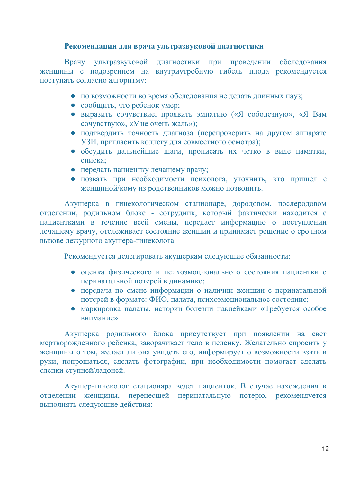### Рекомендации для врача ультразвуковой диагностики

Врачу ультразвуковой диагностики при проведении обследования женщины с подозрением на внутриутробную гибель плода рекомендуется поступать согласно алгоритму:

- по возможности во время обследования не делать длинных пауз;
- $\cos$ бщить, что ребенок умер;
- выразить сочувствие, проявить эмпатию («Я соболезную», «Я Вам сочувствую», «Мне очень жаль»);
- подтвердить точность диагноза (перепроверить на другом аппарате УЗИ, пригласить коллегу для совместного осмотра);
- обсудить дальнейшие шаги, прописать их четко в виде памятки, списка:
- передать пациентку лечащему врачу;
- позвать при необходимости психолога, уточнить, кто пришел с женщиной/кому из родственников можно позвонить.

Акушерка в гинекологическом стационаре, дородовом, послеродовом отделении, родильном блоке - сотрудник, который фактически находится с пациентками в течение всей смены, передает информацию о поступлении лечащему врачу, отслеживает состояние женщин и принимает решение о срочном вызове дежурного акушера-гинеколога.

Рекомендуется делегировать акушеркам следующие обязанности:

- оценка физического и психоэмоционального состояния пациентки с перинатальной потерей в динамике;
- передача по смене информации о наличии женщин с перинатальной потерей в формате: ФИО, палата, психоэмоциональное состояние;
- маркировка палаты, истории болезни наклейками «Требуется особое **внимание»**

Акушерка родильного блока присутствует при появлении на свет мертворожденного ребенка, заворачивает тело в пеленку. Желательно спросить у женщины о том, желает ли она увидеть его, информирует о возможности взять в руки, попрощаться, сделать фотографии, при необходимости помогает сделать слепки ступней/ладоней.

Акушер-гинеколог стационара ведет пациенток. В случае нахождения в отделении женщины, перенесшей перинатальную потерю, рекомендуется выполнять следующие действия: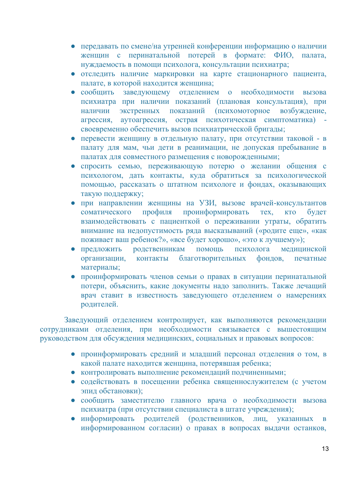- передавать по смене/на утренней конференции информацию о наличии женщин с перинатальной потерей в формате: ФИО, палата, нуждаемость в помощи психолога, консультации психиатра;
- отследить наличие маркировки на карте стационарного пациента, палате, в которой находится женщина;
- сообщить заведующему отделением о необходимости вызова психиатра при наличии показаний (плановая консультация), при наличии экстренных показаний (психомоторное возбуждение, агрессия, аутоагрессия, острая психотическая симптоматика) своевременно обеспечить вызов психиатрической бригады;
- перевести женщину в отдельную палату, при отсутствии таковой в палату для мам, чьи дети в реанимации, не допуская пребывание в палатах для совместного размещения с новорожденными;
- спросить семью, переживающую потерю о желании общения с психологом, дать контакты, куда обратиться за психологической помощью, рассказать о штатном психологе и фондах, оказывающих такую поддержку;
- при направлении женщины на УЗИ, вызове врачей-консультантов соматического профиля проинформировать тех, кто будет взаимодействовать с пациенткой о переживании утраты, обратить внимание на недопустимость ряда высказываний («родите еще», «как поживает ваш ребенок?», «все будет хорошо», «это к лучшему»);
- предложить родственникам помощь психолога медицинской • организации, контакты благотворительных фондов, печатные материалы;
- проинформировать членов семьи о правах в ситуации перинатальной потери, объяснить, какие документы надо заполнить. Также лечащий врач ставит в известность заведующего отделением о намерениях родителей.

Заведующий отделением контролирует, как выполняются рекомендации сотрудниками отделения, при необходимости связывается с вышестоящим руководством для обсуждения медицинских, социальных и правовых вопросов:

- проинформировать средний и младший персонал отделения о том, в какой палате находится женщина, потерявшая ребенка;
- контролировать выполнение рекомендаций подчиненными;
- содействовать в посещении ребенка священнослужителем (с учетом эпид обстановки);
- сообщить заместителю главного врача о необходимости вызова психиатра (при отсутствии специалиста в штате учреждения);
- информировать родителей (родственников, лиц, указанных в информированном согласии) о правах в вопросах выдачи останков,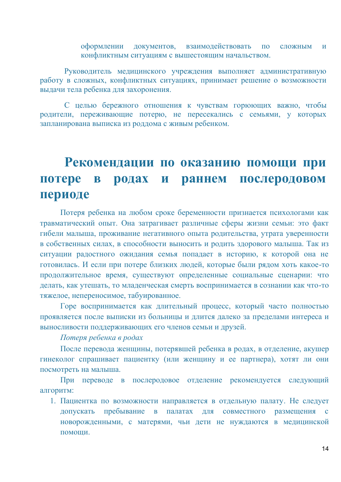оформлении документов, взаимодействовать по сложным и конфликтным ситуациям с вышестоящим начальством.

Руководитель медицинского учреждения выполняет административную работу в сложных, конфликтных ситуациях, принимает решение о возможности выдачи тела ребенка для захоронения.

С целью бережного отношения к чувствам горюющих важно, чтобы родители, переживающие потерю, не пересекались с семьями, у которых запланирована выписка из роддома с живым ребенком.

## <span id="page-15-0"></span>Рекомендации по оказанию помощи при **потере в родах и раннем послеродовом периоде**

Потеря ребенка на любом сроке беременности признается психологами как травматический опыт. Она затрагивает различные сферы жизни семьи: это факт гибели малыша, проживание негативного опыта родительства, утрата уверенности в собственных силах, в способности выносить и родить здорового малыша. Так из ситуации радостного ожидания семья попадает в историю, к которой она не готовилась. И если при потере близких людей, которые были рядом хоть какое-то продолжительное время, существуют определенные социальные сценарии: что делать, как утешать, то младенческая смерть воспринимается в сознании как что-то тяжелое, непереносимое, табуированное.

Горе воспринимается как длительный процесс, который часто полностью проявляется после выписки из больницы и длится далеко за пределами интереса и выносливости поддерживающих его членов семьи и друзей.

*Потерɹ ребенка в родаɯ*

<span id="page-15-1"></span>После перевода женщины, потерявшей ребенка в родах, в отделение, акушер гинеколог спрашивает пациентку (или женщину и ее партнера), хотят ли они посмотреть на малыша.

При переводе в послеродовое отделение рекомендуется следующий алгоритм:

1. Пациентка по возможности направляется в отдельную палату. Не следует допускать пребывание в палатах для совместного размещения с новорожденными, с матерями, чьи дети не нуждаются в медицинской помоши.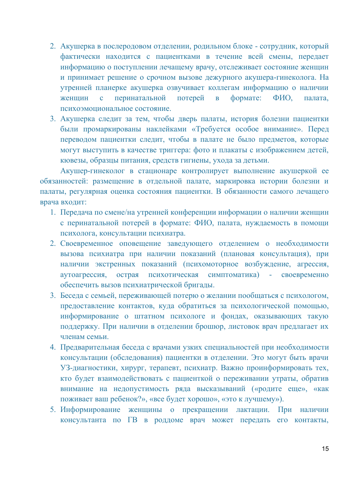- 2. Акушерка в послеродовом отделении, родильном блоке сотрудник, который фактически находится с пациентками в течение всей смены, передает информацию о поступлении лечащему врачу, отслеживает состояние женщин и принимает решение о срочном вызове дежурного акушера-гинеколога. На утренней планерке акушерка озвучивает коллегам информацию о наличии женщин с перинатальной потерей в формате: ФИО, палата, психоэмоциональное состояние.
- 3. Акушерка следит за тем, чтобы дверь палаты, история болезни пациентки были промаркированы наклейками «Требуется особое внимание». Перед переводом пациентки следит, чтобы в палате не было предметов, которые могут выступить в качестве триггера: фото и плакаты с изображением детей, кювезы, образцы питания, средств гигиены, ухода за детьми.

Акушер-гинеколог в стационаре контролирует выполнение акушеркой ее обязанностей: размещение в отдельной палате, маркировка истории болезни и палаты, регулярная оценка состояния пациентки. В обязанности самого лечащего врача входит:

- 1. Передача по смене/на утренней конференции информации о наличии женщин с перинатальной потерей в формате: ФИО, палата, нуждаемость в помощи психолога, консультации психиатра.
- 2. Своевременное оповещение заведующего отделением о необходимости вызова психиатра при наличии показаний (плановая консультация), при наличии экстренных показаний (психомоторное возбуждение, агрессия, аутоагрессия, острая психотическая симптоматика) - своевременно обеспечить вызов психиатрической бригады.
- 3. Беседа с семьей, переживающей потерю о желании пообщаться с психологом, предоставление контактов, куда обратиться за психологической помощью, информирование о штатном психологе и фондах, оказывающих такую поддержку. При наличии в отделении брошюр, листовок врач предлагает их членам семьи.
- 4. Предварительная беседа с врачами узких специальностей при необходимости консультации (обследования) пациентки в отделении. Это могут быть врачи УЗ-диагностики, хирург, терапевт, психиатр. Важно проинформировать тех, кто будет взаимодействовать с пациенткой о переживании утраты, обратив внимание на недопустимость ряда высказываний («родите еще», «как поживает ваш ребенок?», «все будет хорошо», «это к лучшему»).
- 5. Информирование женщины о прекращении лактации. При наличии консультанта по ГВ в роддоме врач может передать его контакты,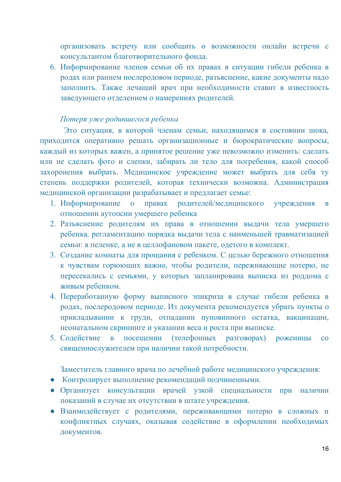организовать встречу или сообщить о возможности онлайн встречи с консультантом благотворительного фонда.

6. Информирование членов семьи об их правах в ситуации гибели ребенка в родах или раннем послеродовом периоде, разъяснение, какие документы надо заполнить. Также лечащий врач при необходимости ставит в известность заведующего отделением о намерениях родителей.

### *Потерɹ ɭже родивɲегосɹ ребенка*

<span id="page-17-0"></span>Это ситуация, в которой членам семьи, находящимся в состоянии шока, приходится оперативно решать организационные и бюрократические вопросы, каждый из которых важен, а принятое решение уже невозможно изменить: сделать или не сделать фото и слепки, забирать ли тело для погребения, какой способ захоронения выбрать. Медицинское учреждение может выбрать для себя ту степень поддержки родителей, которая технически возможна. Администрация медицинской организации разрабатывает и предлагает семье:

- 1. Информирование о правах родителей/медицинского учреждения в отношении аутопсии умершего ребенка
- 2. Разъяснение родителям их права в отношении выдачи тела умершего ребенка, регламентацию порядка выдачи тела с наименьшей травматизацией семьи: в пеленке, а не в целлофановом пакете, одетого в комплект.
- 3. Создание комнаты для прощания с ребенком. С целью бережного отношения к чувствам горюющих важно, чтобы родители, переживающие потерю, не пересекались с семьями, у которых запланирована выписка из роддома с живым ребенком.
- 4. Переработанную форму выписного эпикриза в случае гибели ребенка в родах, послеродовом периоде. Из документа рекомендуется убрать пункты о прикладывании к груди, отпадании пуповинного остатка, вакцинации, неонатальном скрининге и указании веса и роста при выписке.
- 5. Содействие в посещении (телефонных разговорах) роженицы со священнослужителем при наличии такой потребности.

Заместитель главного врача по лечебной работе медицинского учреждения:

- Контролирует выполнение рекомендаций подчиненными.
- Организует консультации врачей узкой специальности при наличии показаний в случае их отсутствии в штате учреждения.
- Взаимодействует с родителями, переживающими потерю в сложных и конфликтных случаях, оказывая содействие в оформлении необходимых документов.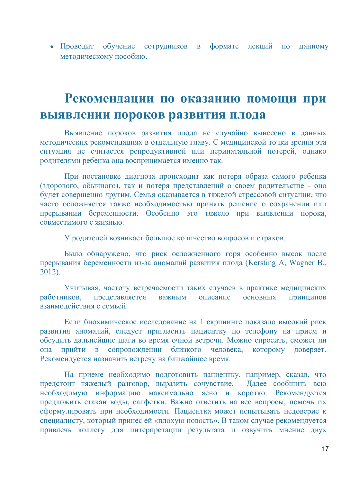• Проводит обучение сотрудников в формате лекций по данному метолическому пособию.

## <span id="page-18-0"></span>Рекомендации по оказанию помощи при **выявлении пороков развития плода**

Выявление пороков развития плода не случайно вынесено в данных методических рекомендациях в отдельную главу. С медицинской точки зрения эта ситуация не считается репродуктивной или перинатальной потерей, однако родителями ребенка она воспринимается именно так.

При постановке диагноза происходит как потеря образа самого ребенка (здорового, обычного), так и потеря представлений о своем родительстве - оно будет совершенно другим. Семья оказывается в тяжелой стрессовой ситуации, что часто осложняется также необходимостью принять решение о сохранении или прерывании беременности. Особенно это тяжело при выявлении порока, ɫɨɜɦɟɫɬɢɦɨɝɨ ɫ ɠɢɡɧɶɸ.

У родителей возникает большое количество вопросов и страхов.

Было обнаружено, что риск осложненного горя особенно высок после прерывания беременности из-за аномалий развития плода (Kersting A, Wagner B., 2012).

Учитывая, частоту встречаемости таких случаев в практике медицинских работников, представляется важным описание основных принципов взаимолействия с семьей

Если биохимическое исследование на 1 скрининге показало высокий риск развития аномалий, следует пригласить пациентку по телефону на прием и обсудить дальнейшие шаги во время очной встречи. Можно спросить, сможет ли она прийти в сопровождении близкого человека, которому доверяет. Рекомендуется назначить встречу на ближайшее время.

На приеме необходимо подготовить пациентку, например, сказав, что предстоит тяжелый разговор, выразить сочувствие. Далее сообщить всю необходимую информацию максимально ясно и коротко. Рекомендуется предложить стакан воды, салфетки. Важно ответить на все вопросы, помочь их сформулировать при необходимости. Пациентка может испытывать недоверие к специалисту, который принес ей «плохую новость». В таком случае рекомендуется привлечь коллегу для интерпретации результата и озвучить мнение двух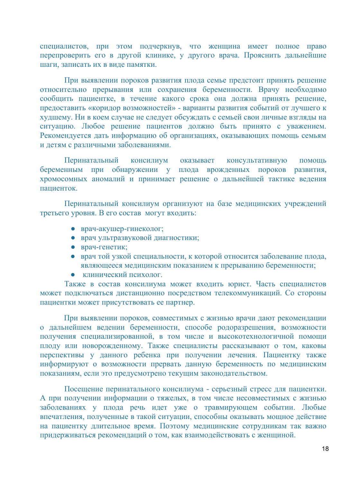специалистов, при этом подчеркнув, что женщина имеет полное право перепроверить его в другой клинике, у другого врача. Прояснить дальнейшие шаги, записать их в виде памятки.

При выявлении пороков развития плода семье предстоит принять решение относительно прерывания или сохранения беременности. Врачу необходимо сообщить пациентке, в течение какого срока она должна принять решение, предоставить «коридор возможностей» - варианты развития событий от лучшего к худшему. Ни в коем случае не следует обсуждать с семьей свои личные взгляды на ситуацию. Любое решение пациентов должно быть принято с уважением. Рекомендуется дать информацию об организациях, оказывающих помощь семьям и детям с различными заболеваниями.

Перинатальный консилиум оказывает консультативную помощь беременным при обнаружении у плода врожденных пороков развития, хромосомных аномалий и принимает решение о дальнейшей тактике ведения пашиенток

Перинатальный консилиум организуют на базе медицинских учреждений третьего уровня. В его состав могут входить:

- врач-акушер-гинеколог;
- врач ультразвуковой диагностики;
- врач-генетик;
- врач той узкой специальности, к которой относится заболевание плода, авляющееся медицинским показанием к прерыванию беременности;
- клинический психолог.

Также в состав консилиума может входить юрист. Часть специалистов может подключаться дистанционно посредством телекоммуникаций. Со стороны пациентки может присутствовать ее партнер.

При выявлении пороков, совместимых с жизнью врачи дают рекомендации о дальнейшем ведении беременности, способе родоразрешения, возможности получения специализированной, в том числе и высокотехнологичной помощи плоду или новорожденному. Также специалисты рассказывают о том, каковы перспективы у данного ребенка при получении лечения. Пациентку также информируют о возможности прервать данную беременность по медицинским показаниям, если это предусмотрено текущим законодательством.

Посещение перинатального консилиума - серьезный стресс для пациентки. А при получении информации о тяжелых, в том числе несовместимых с жизнью заболеваниях у плода речь идет уже о травмирующем событии. Любые впечатления, полученные в такой ситуации, способны оказывать мощное действие на пациентку длительное время. Поэтому медицинские сотрудникам так важно придерживаться рекомендаций о том, как взаимодействовать с женщиной.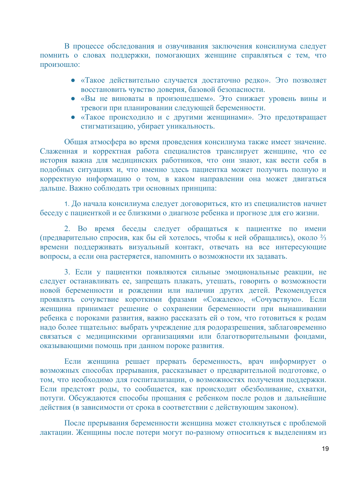В процессе обследования и озвучивания заключения консилиума следует помнить о словах поддержки, помогающих женщине справляться с тем, что произошло:

- «Такое действительно случается достаточно редко». Это позволяет восстановить чувство доверия, базовой безопасности.
- «Вы не виноваты в произошедшем». Это снижает уровень вины и тревоги при планировании следующей беременности.
- «Такое происходило и с другими женщинами». Это предотвращает стигматизацию, убирает уникальность.

Общая атмосфера во время проведения консилиума также имеет значение. Слаженная и корректная работа специалистов транслирует женщине, что ее история важна для медицинских работников, что они знают, как вести себя в подобных ситуациях и, что именно здесь пациентка может получить полную и корректную информацию о том, в каком направлении она может двигаться дальше. Важно соблюдать три основных принципа:

1. До начала консилиума следует договориться, кто из специалистов начнет беседу с пациенткой и ее близкими о диагнозе ребенка и прогнозе для его жизни.

2. Во время беседы следует обращаться к пациентке по имени (предварительно спросив, как бы ей хотелось, чтобы к ней обращались), около 2/3 аъемени поддерживать визуальный контакт, отвечать на все интересующие ɜɨɩɪɨɫɵ, ɚ ɟɫɥɢ ɨɧɚ ɪɚɫɬɟɪɹɟɬɫɹ, ɧɚɩɨɦɧɢɬɶ ɨ ɜɨɡɦɨɠɧɨɫɬɢ ɢɯ ɡɚɞɚɜɚɬɶ.

3. Если у пациентки появляются сильные эмоциональные реакции, не следует останавливать ее, запрещать плакать, утешать, говорить о возможности новой беременности и рождении или наличии других детей. Рекомендуется проявлять сочувствие короткими фразами «Сожалею», «Сочувствую». Если хенщина принимает решение о сохранении беременности при вынашивании ребенка с пороками развития, важно рассказать ей о том, что готовиться к родам надо более тщательно: выбрать учреждение для родоразрешения, заблаговременно связаться с медицинскими организациями или благотворительными фондами, оказывающими помощь при данном пороке развития.

Если женщина решает прервать беременность, врач информирует о возможных способах прерывания, рассказывает о предварительной подготовке, о том, что необходимо для госпитализации, о возможностях получения поддержки. Если предстоят роды, то сообщается, как происходит обезболивание, схватки, потуги. Обсуждаются способы прощания с ребенком после родов и дальнейшие действия (в зависимости от срока в соответствии с действующим законом).

После прерывания беременности женщина может столкнуться с проблемой лактации. Женщины после потери могут по-разному относиться к выделениям из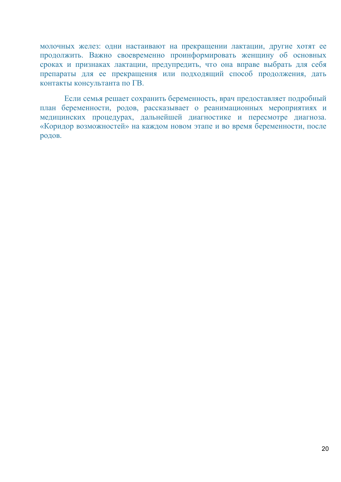молочных желез: одни настаивают на прекращении лактации, другие хотят ее продолжить. Важно своевременно проинформировать женщину об основных сроках и признаках лактации, предупредить, что она вправе выбрать для себя препараты для ее прекращения или подходящий способ продолжения, дать контакты консультанта по ГВ.

Если семья решает сохранить беременность, врач предоставляет подробный план беременности, родов, рассказывает о реанимационных мероприятиях и медицинских процедурах, дальнейшей диагностике и пересмотре диагноза. «Коридор возможностей» на каждом новом этапе и во время беременности, после родов.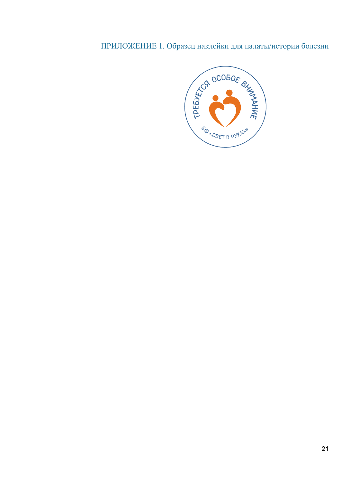### <span id="page-22-0"></span>ПРИЛОЖЕНИЕ 1. Образец наклейки для палаты/истории болезни

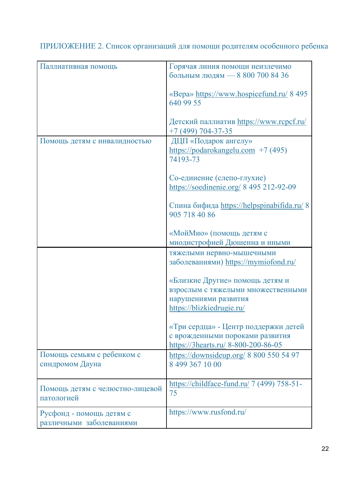<span id="page-23-0"></span>ПРИЛОЖЕНИЕ 2. Список организаций для помощи родителям особенного ребенка

| Паллиативная помощь                                  | Горячая линия помощи неизлечимо<br>больным людям - 8 800 700 84 36<br>«Bepa» https://www.hospicefund.ru/ 8 495             |
|------------------------------------------------------|----------------------------------------------------------------------------------------------------------------------------|
|                                                      | 640 99 55<br>Детский паллиатив https://www.rcpcf.ru/<br>$+7(499) 704 - 37 - 35$                                            |
| Помощь детям с инвалидностью                         | ДЦП «Подарок ангелу»<br>$\frac{https://podarokangelu.com}{\frac{1}{2}}$ +7 (495)<br>74193-73                               |
|                                                      | Со-единение (слепо-глухие)<br>https://soedinenie.org/ 8 495 212-92-09                                                      |
|                                                      | Спина бифида https://helpspinabifida.ru/ 8<br>905 718 40 86                                                                |
|                                                      | «МойМио» (помощь детям с<br>миодистрофией Дюшенна и иными                                                                  |
|                                                      | тяжелыми нервно-мышечными<br>заболеваниями) https://mymiofond.ru/                                                          |
|                                                      | «Близкие Другие» помощь детям и<br>взрослым с тяжелыми множественными<br>нарушениями развития<br>https://blizkiedrugie.ru/ |
|                                                      | «Три сердца» - Центр поддержки детей<br>с врожденными пороками развития<br>https://3hearts.ru/ 8-800-200-86-05             |
| Помощь семьям с ребенком с<br>синдромом Дауна        | https://downsideup.org/ 8 800 550 54 97<br>8 499 367 10 00                                                                 |
| Помощь детям с челюстно-лицевой<br>патологией        | https://childface-fund.ru/ 7 (499) 758-51-<br>75                                                                           |
| Русфонд - помощь детям с<br>различными заболеваниями | https://www.rusfond.ru/                                                                                                    |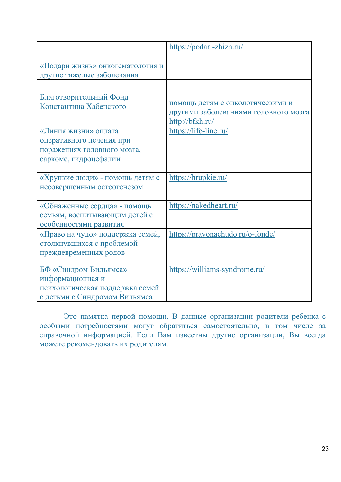|                                                                                                               | https://podari-zhizn.ru/                                                                     |
|---------------------------------------------------------------------------------------------------------------|----------------------------------------------------------------------------------------------|
| «Подари жизнь» онкогематология и<br>другие тяжелые заболевания                                                |                                                                                              |
| Благотворительный Фонд<br>Константина Хабенского                                                              | помощь детям с онкологическими и<br>другими заболеваниями головного мозга<br>http://bfkh.ru/ |
| «Линия жизни» оплата<br>оперативного лечения при<br>поражениях головного мозга,<br>саркоме, гидроцефалии      | https://life-line.ru/                                                                        |
| «Хрупкие люди» - помощь детям с<br>несовершенным остеогенезом                                                 | https://hrupkie.ru/                                                                          |
| «Обнаженные сердца» - помощь<br>семьям, воспитывающим детей с<br>особенностями развития                       | https://nakedheart.ru/                                                                       |
| «Право на чудо» поддержка семей,<br>столкнувшихся с проблемой<br>преждевременных родов                        | https://pravonachudo.ru/o-fonde/                                                             |
| БФ «Синдром Вильямса»<br>информационная и<br>психологическая поддержка семей<br>с детьми с Синдромом Вильямса | https://williams-syndrome.ru/                                                                |

Это памятка первой помощи. В данные организации родители ребенка с особыми потребностями могут обратиться самостоятельно, в том числе за справочной информацией. Если Вам известны другие организации, Вы всегда на и таки и таки и таки и таки и таки и таки и таки и таки и таки и таки и таки и таки и таки и таки и таки и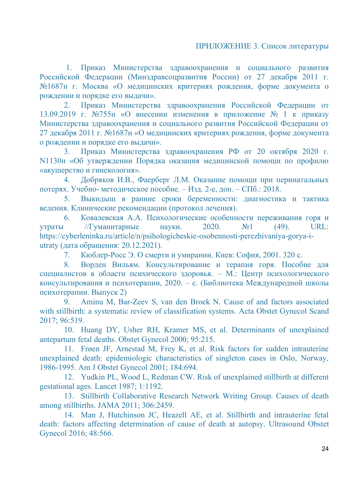<span id="page-25-0"></span>1. Приказ Министерства здравоохранения и социального развития Российской Федерации (Минздравсоцразвития России) от 27 декабря 2011 г.  $N$ <sup>0</sup>1687н г. Москва «О медицинских критериях рождения, форме документа о рождении и порядке его выдачи».

2. Приказ Министерства здравоохранения Российской Федерации от 13.09.2019 г. №755н «О внесении изменения в приложение № 1 к приказу Министерства здравоохранения и социального развития Российской Федерации от 27 декабря 2011 г. №1687н «О медицинских критериях рождения, форме документа о рождении и порядке его выдачи».

3. Приказ Министерства здравоохранения РФ от 20 октября 2020 г. N1130н «Об утверждении Порядка оказания медицинской помощи по профилю «акушерство и гинекология».

4. Добряков И.В., Фаерберг Л.М. Оказание помощи при перинатальных потерях. Учебно-методическое пособие. – Изд. 2-е, доп. – СПб.: 2018.

5. Выкидыш в ранние сроки беременности: диагностика и тактика ведения. Клинические рекомендации (протокол лечения).

6. Ковалевская А.А. Психологические особенности переживания горя и утраты // Гуманитарные науки.  $2020.$   $\mathbb{N}$ <sup>o</sup>1 (49). URL: https://cyberleninka.ru/article/n/psihologicheskie-osobennosti-perezhivaniya-gorya-iutraty (дата обращения: 20.12.2021).

7. Кюблер-Росс Э. О смерти и умирании. Киев: София, 2001. 320 с.

8. Ворден Вильям. Консультирование и терапия горя. Пособие для специалистов в области психического здоровья. – М.: Центр психологического консультирования и психотерапии, 2020. – с. (Библиотека Международной школы психотерапии. Выпуск 2)

9. Aminu M, Bar-Zeev S, van den Broek N. Cause of and factors associated with stillbirth: a systematic review of classification systems. Acta Obstet Gynecol Scand 2017; 96:519.

10. Huang DY, Usher RH, Kramer MS, et al. Determinants of unexplained antepartum fetal deaths. Obstet Gynecol 2000; 95:215.

11. Frøen JF, Arnestad M, Frey K, et al. Risk factors for sudden intrauterine unexplained death: epidemiologic characteristics of singleton cases in Oslo, Norway, 1986-1995. Am J Obstet Gynecol 2001; 184:694.

12. Yudkin PL, Wood L, Redman CW. Risk of unexplained stillbirth at different gestational ages. Lancet 1987; 1:1192.

13. Stillbirth Collaborative Research Network Writing Group. Causes of death among stillbirths. JAMA 2011; 306:2459.

14. Man J, Hutchinson JC, Heazell AE, et al. Stillbirth and intrauterine fetal death: factors affecting determination of cause of death at autopsy. Ultrasound Obstet Gynecol 2016; 48:566.